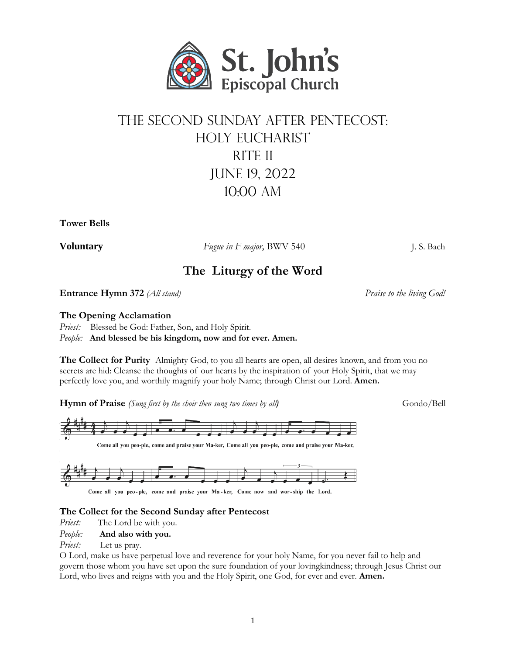

# The Second Sunday after Pentecost: Holy Eucharist RITE II June 19, 2022 10:00 aM

**Tower Bells**

**Voluntary** *Fugue in F major,* BWV 540J. S. Bach

## **The Liturgy of the Word**

**Entrance Hymn 372** *(All stand) Praise to the living God!*

#### **The Opening Acclamation**

Priest: Blessed be God: Father, Son, and Holy Spirit.

*People:* **And blessed be his kingdom, now and for ever. Amen.**

**The Collect for Purity** Almighty God, to you all hearts are open, all desires known, and from you no secrets are hid: Cleanse the thoughts of our hearts by the inspiration of your Holy Spirit, that we may perfectly love you, and worthily magnify your holy Name; through Christ our Lord. **Amen.**

**Hymn of Praise** *(Sung first by the choir then sung two times by all)* Gondo/Bell





Come all you peo-ple, come and praise your Ma-ker, Come now and wor-ship the Lord.

### **The Collect for the Second Sunday after Pentecost**

*Priest:* The Lord be with you.

#### *People:* **And also with you.**

*Priest:* Let us pray.

O Lord, make us have perpetual love and reverence for your holy Name, for you never fail to help and govern those whom you have set upon the sure foundation of your lovingkindness; through Jesus Christ our Lord, who lives and reigns with you and the Holy Spirit, one God, for ever and ever. **Amen.**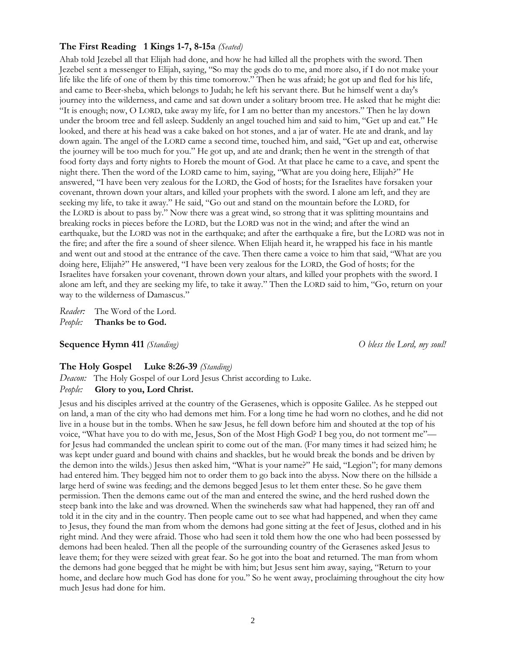#### **The First Reading 1 Kings 1-7, 8-15a** *(Seated)*

Ahab told Jezebel all that Elijah had done, and how he had killed all the prophets with the sword. Then Jezebel sent a messenger to Elijah, saying, "So may the gods do to me, and more also, if I do not make your life like the life of one of them by this time tomorrow." Then he was afraid; he got up and fled for his life, and came to Beer-sheba, which belongs to Judah; he left his servant there. But he himself went a day's journey into the wilderness, and came and sat down under a solitary broom tree. He asked that he might die: "It is enough; now, O LORD, take away my life, for I am no better than my ancestors." Then he lay down under the broom tree and fell asleep. Suddenly an angel touched him and said to him, "Get up and eat." He looked, and there at his head was a cake baked on hot stones, and a jar of water. He ate and drank, and lay down again. The angel of the LORD came a second time, touched him, and said, "Get up and eat, otherwise the journey will be too much for you." He got up, and ate and drank; then he went in the strength of that food forty days and forty nights to Horeb the mount of God. At that place he came to a cave, and spent the night there. Then the word of the LORD came to him, saying, "What are you doing here, Elijah?" He answered, "I have been very zealous for the LORD, the God of hosts; for the Israelites have forsaken your covenant, thrown down your altars, and killed your prophets with the sword. I alone am left, and they are seeking my life, to take it away." He said, "Go out and stand on the mountain before the LORD, for the LORD is about to pass by." Now there was a great wind, so strong that it was splitting mountains and breaking rocks in pieces before the LORD, but the LORD was not in the wind; and after the wind an earthquake, but the LORD was not in the earthquake; and after the earthquake a fire, but the LORD was not in the fire; and after the fire a sound of sheer silence. When Elijah heard it, he wrapped his face in his mantle and went out and stood at the entrance of the cave. Then there came a voice to him that said, "What are you doing here, Elijah?" He answered, "I have been very zealous for the LORD, the God of hosts; for the Israelites have forsaken your covenant, thrown down your altars, and killed your prophets with the sword. I alone am left, and they are seeking my life, to take it away." Then the LORD said to him, "Go, return on your way to the wilderness of Damascus."

*Reader:* The Word of the Lord. *People:* **Thanks be to God.**

#### **Sequence Hymn 411** *(Standing) O bless the Lord, my soul!*

#### **The Holy Gospel Luke 8:26-39** *(Standing)*

*Deacon:* The Holy Gospel of our Lord Jesus Christ according to Luke. *People:* **Glory to you, Lord Christ.**

Jesus and his disciples arrived at the country of the Gerasenes, which is opposite Galilee. As he stepped out on land, a man of the city who had demons met him. For a long time he had worn no clothes, and he did not live in a house but in the tombs. When he saw Jesus, he fell down before him and shouted at the top of his voice, "What have you to do with me, Jesus, Son of the Most High God? I beg you, do not torment me" for Jesus had commanded the unclean spirit to come out of the man. (For many times it had seized him; he was kept under guard and bound with chains and shackles, but he would break the bonds and be driven by the demon into the wilds.) Jesus then asked him, "What is your name?" He said, "Legion"; for many demons had entered him. They begged him not to order them to go back into the abyss. Now there on the hillside a large herd of swine was feeding; and the demons begged Jesus to let them enter these. So he gave them permission. Then the demons came out of the man and entered the swine, and the herd rushed down the steep bank into the lake and was drowned. When the swineherds saw what had happened, they ran off and told it in the city and in the country. Then people came out to see what had happened, and when they came to Jesus, they found the man from whom the demons had gone sitting at the feet of Jesus, clothed and in his right mind. And they were afraid. Those who had seen it told them how the one who had been possessed by demons had been healed. Then all the people of the surrounding country of the Gerasenes asked Jesus to leave them; for they were seized with great fear. So he got into the boat and returned. The man from whom the demons had gone begged that he might be with him; but Jesus sent him away, saying, "Return to your home, and declare how much God has done for you." So he went away, proclaiming throughout the city how much Jesus had done for him.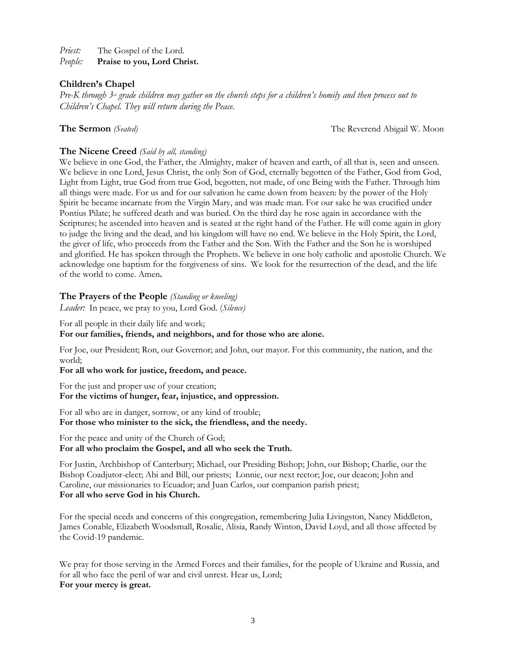#### Priest: The Gospel of the Lord. *People:* **Praise to you, Lord Christ.**

### **Children's Chapel**

Pre-K through  $3\pi$  grade children may gather on the church steps for a children's homily and then process out to *Children's Chapel. They will return during the Peace.*

**The Sermon** *(Seated)* **The Reverend Abigail W. Moon** 

#### **The Nicene Creed** *(Said by all, standing)*

We believe in one God, the Father, the Almighty, maker of heaven and earth, of all that is, seen and unseen. We believe in one Lord, Jesus Christ, the only Son of God, eternally begotten of the Father, God from God, Light from Light, true God from true God, begotten, not made, of one Being with the Father. Through him all things were made. For us and for our salvation he came down from heaven: by the power of the Holy Spirit he became incarnate from the Virgin Mary, and was made man. For our sake he was crucified under Pontius Pilate; he suffered death and was buried. On the third day he rose again in accordance with the Scriptures; he ascended into heaven and is seated at the right hand of the Father. He will come again in glory to judge the living and the dead, and his kingdom will have no end. We believe in the Holy Spirit, the Lord, the giver of life, who proceeds from the Father and the Son. With the Father and the Son he is worshiped and glorified. He has spoken through the Prophets. We believe in one holy catholic and apostolic Church. We acknowledge one baptism for the forgiveness of sins. We look for the resurrection of the dead, and the life of the world to come. Amen**.**

#### **The Prayers of the People** *(Standing or kneeling)*

*Leader:* In peace, we pray to you, Lord God. (*Silence)*

#### For all people in their daily life and work; **For our families, friends, and neighbors, and for those who are alone.**

For Joe, our President; Ron, our Governor; and John, our mayor. For this community, the nation, and the world;

#### **For all who work for justice, freedom, and peace.**

For the just and proper use of your creation; **For the victims of hunger, fear, injustice, and oppression.**

For all who are in danger, sorrow, or any kind of trouble; **For those who minister to the sick, the friendless, and the needy.**

#### For the peace and unity of the Church of God; **For all who proclaim the Gospel, and all who seek the Truth.**

For Justin, Archbishop of Canterbury; Michael, our Presiding Bishop; John, our Bishop; Charlie, our the Bishop Coadjutor-elect; Abi and Bill, our priests; Lonnie, our next rector; Joe, our deacon; John and Caroline, our missionaries to Ecuador; and Juan Carlos, our companion parish priest; **For all who serve God in his Church.**

For the special needs and concerns of this congregation, remembering Julia Livingston, Nancy Middleton, James Conable, Elizabeth Woodsmall, Rosalie, Alisia, Randy Winton, David Loyd, and all those affected by the Covid-19 pandemic.

We pray for those serving in the Armed Forces and their families, for the people of Ukraine and Russia, and for all who face the peril of war and civil unrest. Hear us, Lord; **For your mercy is great.**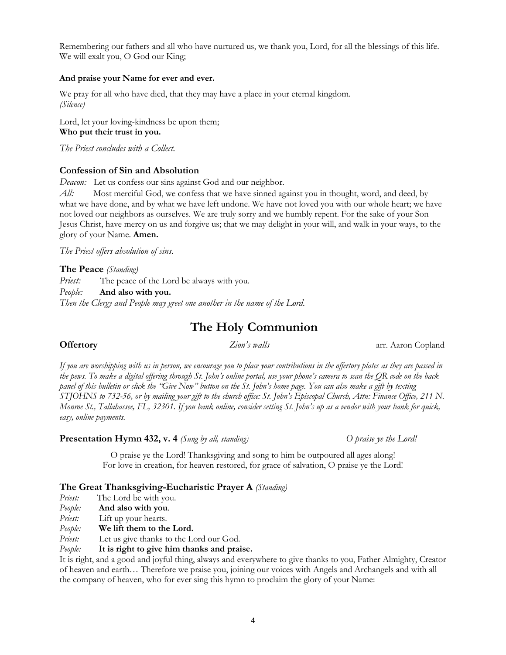Remembering our fathers and all who have nurtured us, we thank you, Lord, for all the blessings of this life. We will exalt you, O God our King;

#### **And praise your Name for ever and ever.**

We pray for all who have died, that they may have a place in your eternal kingdom. *(Silence)*

Lord, let your loving-kindness be upon them; **Who put their trust in you.**

*The Priest concludes with a Collect.*

#### **Confession of Sin and Absolution**

*Deacon:* Let us confess our sins against God and our neighbor.

All: Most merciful God, we confess that we have sinned against you in thought, word, and deed, by what we have done, and by what we have left undone. We have not loved you with our whole heart; we have not loved our neighbors as ourselves. We are truly sorry and we humbly repent. For the sake of your Son Jesus Christ, have mercy on us and forgive us; that we may delight in your will, and walk in your ways, to the glory of your Name. **Amen.**

*The Priest offers absolution of sins.*

**The Peace** *(Standing) Priest:* The peace of the Lord be always with you. *People:* **And also with you.** *Then the Clergy and People may greet one another in the name of the Lord.*

## **The Holy Communion**

**Offertory** *Zion's**walls zion's**walls* **arr.** Aaron Copland

If you are worshipping with us in person, we encourage you to place your contributions in the offertory plates as they are passed in the pews. To make a digital offering through St. John's online portal, use your phone's camera to scan the OR code on the back panel of this bulletin or click the "Give Now" button on the St. John's home page. You can also make a gift by texting STJOHNS to 732-56, or by mailing your gift to the church office: St. John's Episcopal Church, Attn: Finance Office, 211 N. Monroe St., Tallahassee, FL, 32301. If you bank online, consider setting St. John's up as a vendor with your bank for quick, *easy, online payments.*

#### **Presentation Hymn 432, v. 4** *(Sung by all, standing)**O praise ye the Lord!*

O praise ye the Lord! Thanksgiving and song to him be outpoured all ages along! For love in creation, for heaven restored, for grace of salvation, O praise ye the Lord!

#### **The Great Thanksgiving-Eucharistic Prayer A** *(Standing)*

- *Priest:* The Lord be with you.
- *People:* **And also with you**.
- *Priest:* Lift up your hearts.
- *People:* **We lift them to the Lord.**
- *Priest:* Let us give thanks to the Lord our God.
- *People:* **It is right to give him thanks and praise.**

It is right, and a good and joyful thing, always and everywhere to give thanks to you, Father Almighty, Creator of heaven and earth… Therefore we praise you, joining our voices with Angels and Archangels and with all the company of heaven, who for ever sing this hymn to proclaim the glory of your Name: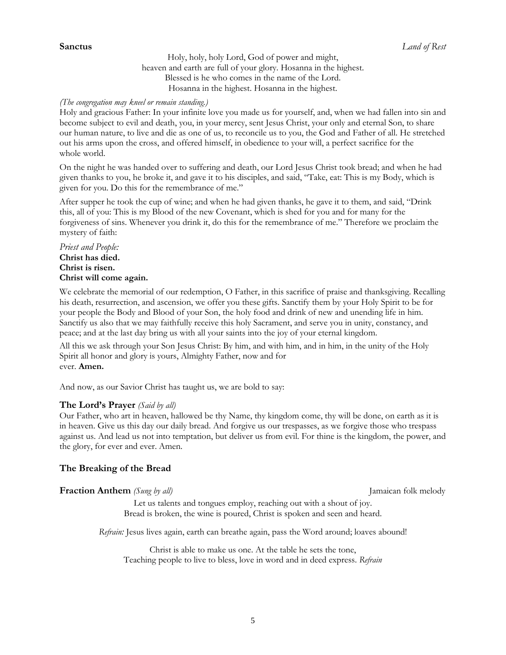Holy, holy, holy Lord, God of power and might, heaven and earth are full of your glory. Hosanna in the highest. Blessed is he who comes in the name of the Lord. Hosanna in the highest. Hosanna in the highest.

#### *(The congregation may kneel or remain standing.)*

Holy and gracious Father: In your infinite love you made us for yourself, and, when we had fallen into sin and become subject to evil and death, you, in your mercy, sent Jesus Christ, your only and eternal Son, to share our human nature, to live and die as one of us, to reconcile us to you, the God and Father of all. He stretched out his arms upon the cross, and offered himself, in obedience to your will, a perfect sacrifice for the whole world.

On the night he was handed over to suffering and death, our Lord Jesus Christ took bread; and when he had given thanks to you, he broke it, and gave it to his disciples, and said, "Take, eat: This is my Body, which is given for you. Do this for the remembrance of me."

After supper he took the cup of wine; and when he had given thanks, he gave it to them, and said, "Drink this, all of you: This is my Blood of the new Covenant, which is shed for you and for many for the forgiveness of sins. Whenever you drink it, do this for the remembrance of me." Therefore we proclaim the mystery of faith:

#### *Priest and People:* **Christ has died. Christ is risen. Christ will come again.**

We celebrate the memorial of our redemption, O Father, in this sacrifice of praise and thanksgiving. Recalling his death, resurrection, and ascension, we offer you these gifts. Sanctify them by your Holy Spirit to be for your people the Body and Blood of your Son, the holy food and drink of new and unending life in him. Sanctify us also that we may faithfully receive this holy Sacrament, and serve you in unity, constancy, and peace; and at the last day bring us with all your saints into the joy of your eternal kingdom.

All this we ask through your Son Jesus Christ: By him, and with him, and in him, in the unity of the Holy Spirit all honor and glory is yours, Almighty Father, now and for ever. **Amen.**

And now, as our Savior Christ has taught us, we are bold to say:

#### **The Lord's Prayer** *(Said by all)*

Our Father, who art in heaven, hallowed be thy Name, thy kingdom come, thy will be done, on earth as it is in heaven. Give us this day our daily bread. And forgive us our trespasses, as we forgive those who trespass against us. And lead us not into temptation, but deliver us from evil. For thine is the kingdom, the power, and the glory, for ever and ever. Amen.

#### **The Breaking of the Bread**

#### **Fraction Anthem** *(Sung by all)* Jamaican folk melody

Let us talents and tongues employ, reaching out with a shout of joy. Bread is broken, the wine is poured, Christ is spoken and seen and heard.

*Refrain:* Jesus lives again, earth can breathe again, pass the Word around; loaves abound!

Christ is able to make us one. At the table he sets the tone, Teaching people to live to bless, love in word and in deed express. *Refrain*